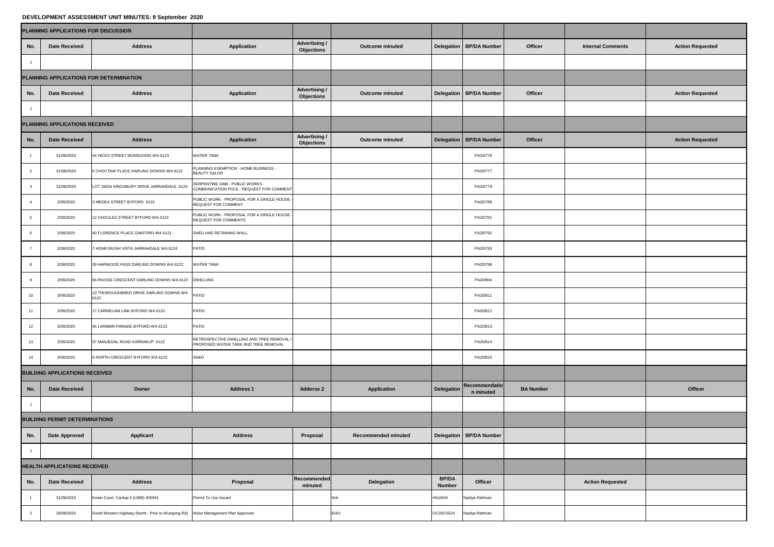## **DEVELOPMENT ASSESSMENT UNIT MINUTES: 9 September 2020**

| PLANNING APPLICATIONS FOR DISCUSSION    |                                |                                                                                    |                                                                                   |                                           |                            |                               |                                   |                  |                          |                         |
|-----------------------------------------|--------------------------------|------------------------------------------------------------------------------------|-----------------------------------------------------------------------------------|-------------------------------------------|----------------------------|-------------------------------|-----------------------------------|------------------|--------------------------|-------------------------|
| No.                                     | <b>Date Received</b>           | <b>Address</b>                                                                     | <b>Application</b>                                                                | <b>Advertising /</b><br><b>Objections</b> | <b>Outcome minuted</b>     |                               | Delegation   BP/DA Number         | <b>Officer</b>   | <b>Internal Comments</b> | <b>Action Requested</b> |
|                                         |                                |                                                                                    |                                                                                   |                                           |                            |                               |                                   |                  |                          |                         |
| PLANNING APPLICATIONS FOR DETERMINATION |                                |                                                                                    |                                                                                   |                                           |                            |                               |                                   |                  |                          |                         |
| No.                                     | <b>Date Received</b>           | <b>Address</b>                                                                     | <b>Application</b>                                                                | <b>Advertising /</b><br><b>Objections</b> | <b>Outcome minuted</b>     |                               | Delegation   BP/DA Number         | <b>Officer</b>   |                          | <b>Action Requested</b> |
|                                         |                                |                                                                                    |                                                                                   |                                           |                            |                               |                                   |                  |                          |                         |
|                                         | PLANNING APPLICATIONS RECEIVED |                                                                                    |                                                                                   |                                           |                            |                               |                                   |                  |                          |                         |
| No.                                     | Date Received                  | <b>Address</b>                                                                     | <b>Application</b>                                                                | <b>Advertising /</b><br><b>Objections</b> | <b>Outcome minuted</b>     |                               | Delegation   BP/DA Number         | <b>Officer</b>   |                          | <b>Action Requested</b> |
|                                         | 31/08/2020                     | 44 HICKS STREET MUNDIJONG WA 6123                                                  | <b>WATER TANK</b>                                                                 |                                           |                            |                               | PA20/776                          |                  |                          |                         |
|                                         | 31/08/2020                     | 6 CHOCTAW PLACE DARLING DOWNS WA 6122                                              | PLANNING EXEMPTION - HOME BUSINESS -<br><b>BEAUTY SALON</b>                       |                                           |                            |                               | PA20/777                          |                  |                          |                         |
|                                         | 31/08/2020                     | LOT 16634 KINGSBURY DRIVE JARRAHDALE 6124                                          | SERPENTINE DAM - PUBLIC WORKS -<br>COMMUNICATION POLE - REQUEST FOR COMMENT       |                                           |                            |                               | PA20/779                          |                  |                          |                         |
|                                         | 2/09/2020                      | 3 MEDEA STREET BYFORD 6122                                                         | PUBLIC WORK - PROPOSAL FOR A SINGLE HOUSE -<br><b>REQUEST FOR COMMENT</b>         |                                           |                            |                               | PA20/789                          |                  |                          |                         |
|                                         | 2/09/2020                      | 12 CHOULES STREET BYFORD WA 6122                                                   | PUBLIC WORK - PROPOSAL FOR A SINGLE HOUSE -<br><b>REQUEST FOR COMMENTS</b>        |                                           |                            |                               | PA20/791                          |                  |                          |                         |
|                                         | 2/09/2020                      | 40 FLORENCE PLACE OAKFORD WA 6121                                                  | SHED AND RETAINING WALL                                                           |                                           |                            |                               | PA20/792                          |                  |                          |                         |
|                                         | 2/09/2020                      | 7 HONEYBUSH VISTA JARRAHDALE WA 6124                                               | <b>PATIO</b>                                                                      |                                           |                            |                               | PA20/793                          |                  |                          |                         |
|                                         | 2/09/2020                      | 39 HARWOOD PASS DARLING DOWNS WA 6122                                              | <b>WATER TANK</b>                                                                 |                                           |                            |                               | PA20/798                          |                  |                          |                         |
|                                         | 2/09/2020                      | 56 RIVOSE CRESCENT DARLING DOWNS WA 6122 DWELLING                                  |                                                                                   |                                           |                            |                               | PA20/804                          |                  |                          |                         |
| 10 <sup>1</sup>                         | 3/09/2020                      | 13 THOROUGHBRED DRIVE DARLING DOWNS WA PATIO<br>6122                               |                                                                                   |                                           |                            |                               | PA20/811                          |                  |                          |                         |
|                                         | 2/09/2020                      | 17 CARNELIAN LINK BYFORD WA 6122                                                   | <b>PATIO</b>                                                                      |                                           |                            |                               | PA20/812                          |                  |                          |                         |
| 12                                      | 3/09/2020                      | 45 LARIMAR PARADE BYFORD WA 6122                                                   | <b>PATIO</b>                                                                      |                                           |                            |                               | PA20/813                          |                  |                          |                         |
| 13 <sup>7</sup>                         | 3/09/2020                      | 37 MANJEDAL ROAD KARRAKUP 6122                                                     | RETROSPECTIVE DWELLING AND TREE REMOVAL /<br>PROPOSED WATER TANK AND TREE REMOVAL |                                           |                            |                               | PA20/814                          |                  |                          |                         |
| 14                                      | 4/09/2020                      | 4 NORTH CRESCENT BYFORD WA 6122                                                    | SHED                                                                              |                                           |                            |                               | PA20/815                          |                  |                          |                         |
| <b>BUILDING APPLICATIONS RECEIVED</b>   |                                |                                                                                    |                                                                                   |                                           |                            |                               |                                   |                  |                          |                         |
| No.                                     | <b>Date Received</b>           | Owner                                                                              | <b>Address 1</b>                                                                  | <b>Adderss 2</b>                          | <b>Application</b>         | <b>Delegation</b>             | <b>Recommendatio</b><br>n minuted | <b>BA Number</b> |                          | <b>Officer</b>          |
|                                         |                                |                                                                                    |                                                                                   |                                           |                            |                               |                                   |                  |                          |                         |
| <b>BUILDING PERMIT DETERMINATIONS</b>   |                                |                                                                                    |                                                                                   |                                           |                            |                               |                                   |                  |                          |                         |
| No.                                     | <b>Date Approved</b>           | <b>Applicant</b>                                                                   | <b>Address</b>                                                                    | <b>Proposal</b>                           | <b>Recommended minuted</b> |                               | Delegation   BP/DA Number         |                  |                          |                         |
|                                         |                                |                                                                                    |                                                                                   |                                           |                            |                               |                                   |                  |                          |                         |
| <b>HEALTH APPLICATIONS RECEIVED</b>     |                                |                                                                                    |                                                                                   |                                           |                            |                               |                                   |                  |                          |                         |
| No.                                     | <b>Date Received</b>           | <b>Address</b>                                                                     | Proposal                                                                          | Recommended<br>minuted                    | <b>Delegation</b>          | <b>BP/DA</b><br><b>Number</b> | <b>Officer</b>                    |                  | <b>Action Requested</b>  |                         |
|                                         | 31/08/2020                     | Kowin Court, Cardup 5 (L888) 405941                                                | Permit To Use Issued                                                              |                                           | N/A                        | HA19/44                       | Nadiya Rahman                     |                  |                          |                         |
|                                         | 26/08/2020                     | South Western Highway (North - Prior to Wungong Rd) Noise Management Plan Approved |                                                                                   |                                           | EHO                        | OC20/15524                    | Nadiya Rahman                     |                  |                          |                         |

| <b>Action Requested</b> |
|-------------------------|
|                         |
|                         |
| <b>Action Requested</b> |
|                         |
|                         |
| <b>Action Requested</b> |
|                         |
|                         |
|                         |
|                         |
|                         |
|                         |
|                         |
|                         |
|                         |
|                         |
|                         |
|                         |
|                         |
|                         |
|                         |
|                         |
| <b>Officer</b>          |
|                         |
|                         |
|                         |
|                         |
|                         |
|                         |
|                         |
|                         |
|                         |